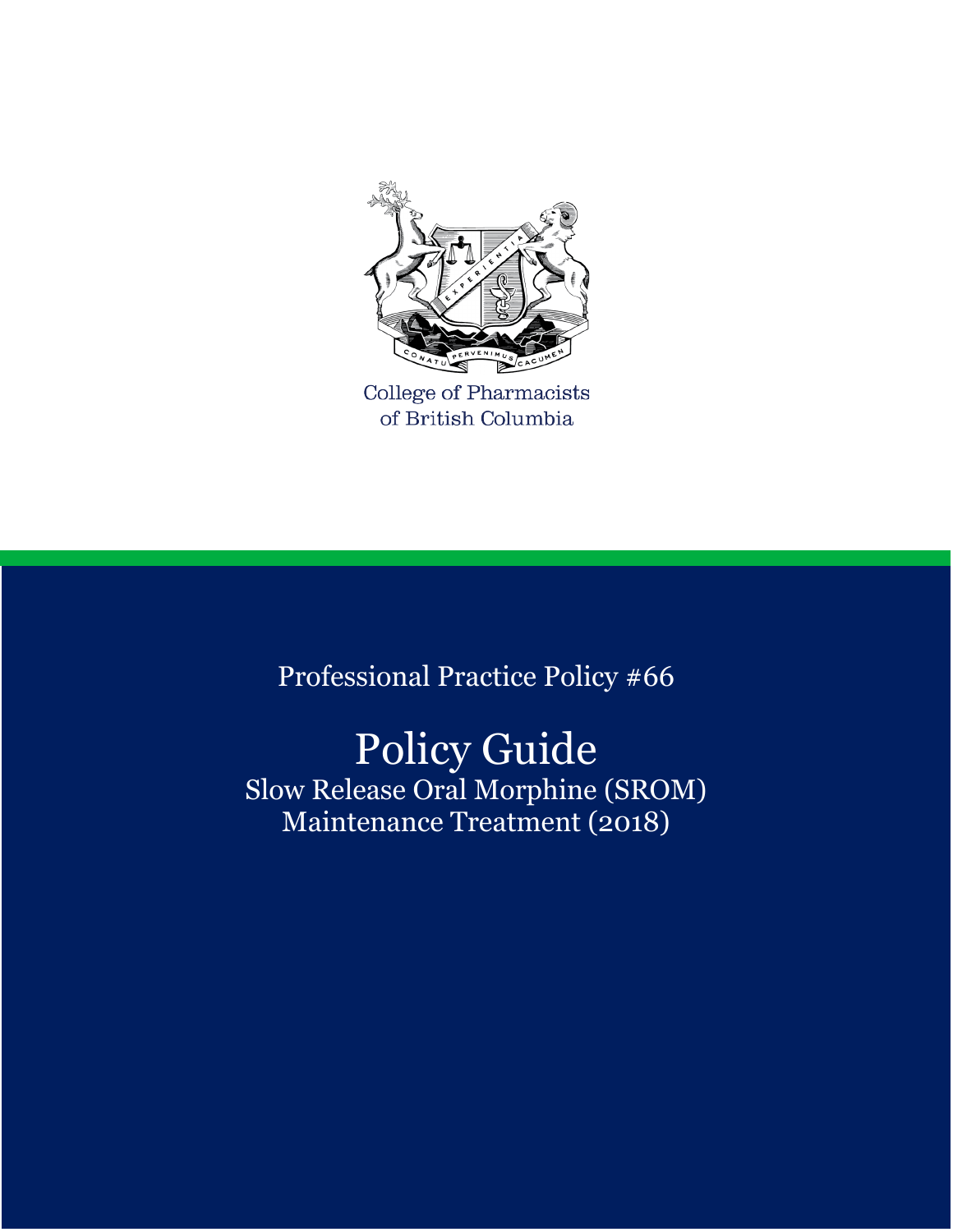

**College of Pharmacists** of British Columbia

Professional Practice Policy #66

# Policy Guide

Slow Release Oral Morphine (SROM) Maintenance Treatment (2018)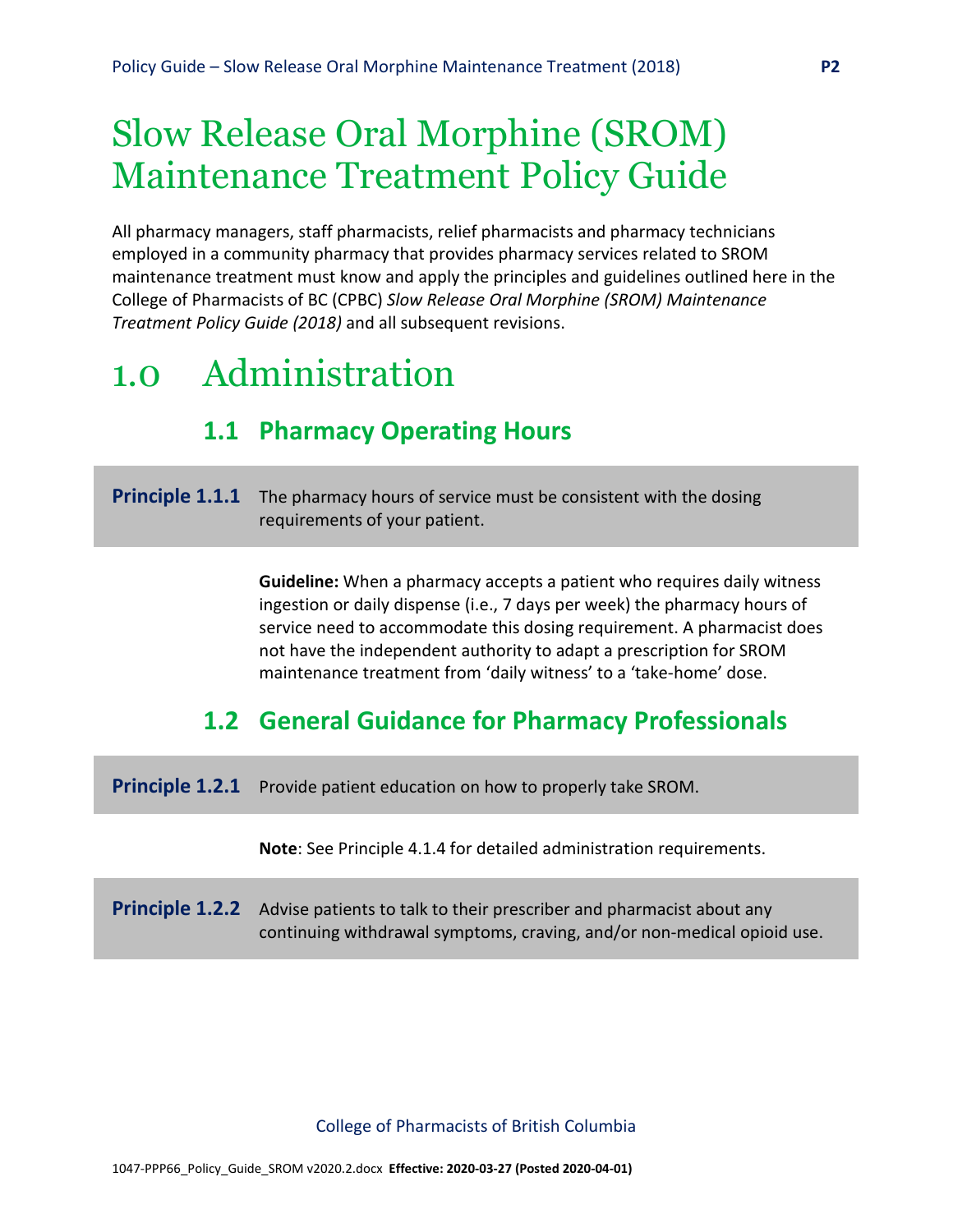# Slow Release Oral Morphine (SROM) Maintenance Treatment Policy Guide

All pharmacy managers, staff pharmacists, relief pharmacists and pharmacy technicians employed in a community pharmacy that provides pharmacy services related to SROM maintenance treatment must know and apply the principles and guidelines outlined here in the College of Pharmacists of BC (CPBC) *Slow Release Oral Morphine (SROM) Maintenance Treatment Policy Guide (2018)* and all subsequent revisions.

## 1.0 Administration

## **1.1 Pharmacy Operating Hours**

#### **Principle 1.1.1** The pharmacy hours of service must be consistent with the dosing requirements of your patient.

**Guideline:** When a pharmacy accepts a patient who requires daily witness ingestion or daily dispense (i.e., 7 days per week) the pharmacy hours of service need to accommodate this dosing requirement. A pharmacist does not have the independent authority to adapt a prescription for SROM maintenance treatment from 'daily witness' to a 'take-home' dose.

## **1.2 General Guidance for Pharmacy Professionals**

**Principle 1.2.1** Provide patient education on how to properly take SROM.

**Note**: See Principle 4.1.4 for detailed administration requirements.

| <b>Principle 1.2.2</b> Advise patients to talk to their prescriber and pharmacist about any |
|---------------------------------------------------------------------------------------------|
| continuing withdrawal symptoms, craving, and/or non-medical opioid use.                     |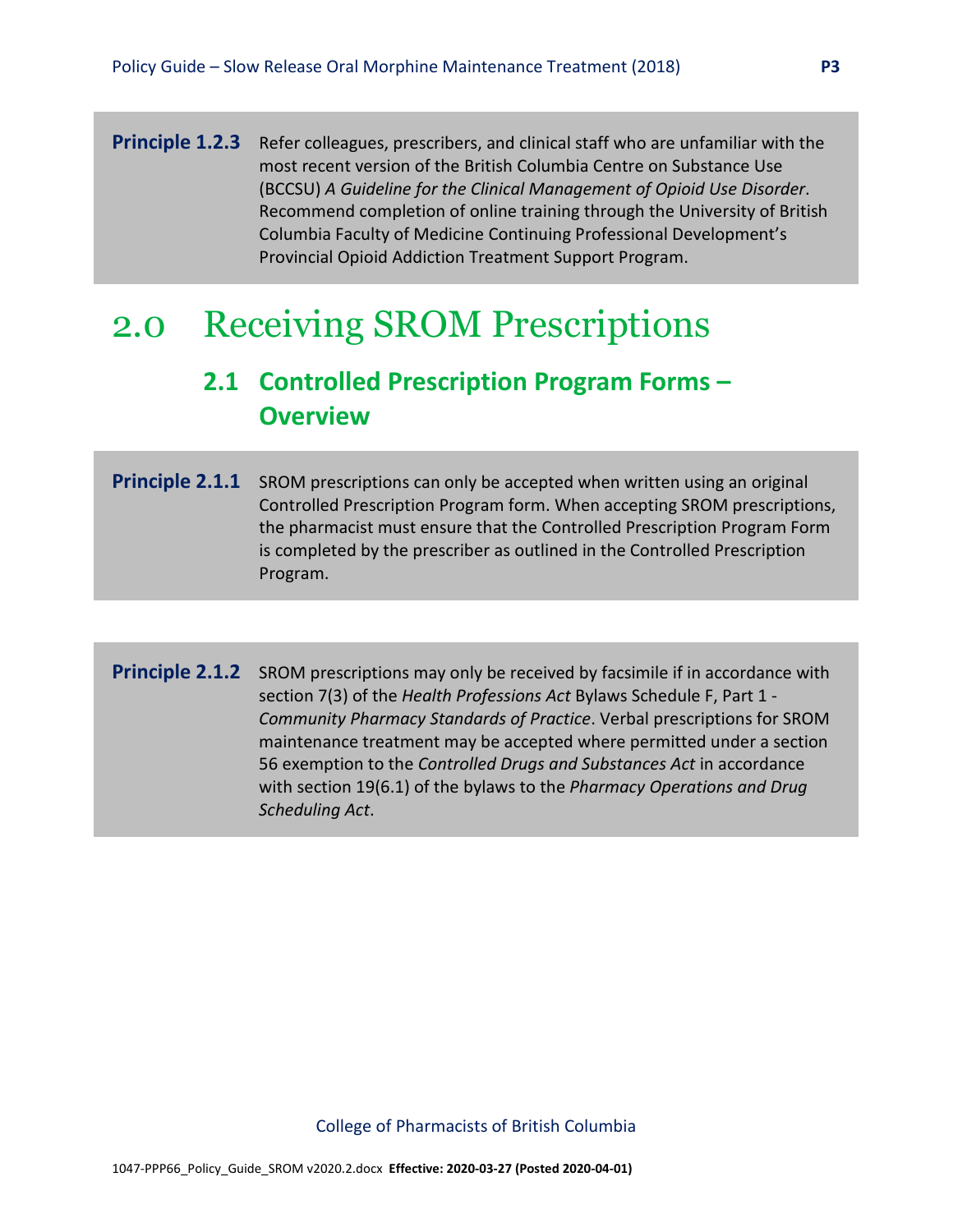**Principle 1.2.3** Refer colleagues, prescribers, and clinical staff who are unfamiliar with the most recent version of the British Columbia Centre on Substance Use (BCCSU) *A Guideline for the Clinical Management of Opioid Use Disorder*. Recommend completion of online training through the University of British Columbia Faculty of Medicine Continuing Professional Development's Provincial Opioid Addiction Treatment Support Program.

## 2.0 Receiving SROM Prescriptions

## **2.1 Controlled Prescription Program Forms – Overview**

- **Principle 2.1.1** SROM prescriptions can only be accepted when written using an original Controlled Prescription Program form. When accepting SROM prescriptions, the pharmacist must ensure that the Controlled Prescription Program Form is completed by the prescriber as outlined in the Controlled Prescription Program.
- **Principle 2.1.2** SROM prescriptions may only be received by facsimile if in accordance with section 7(3) of the *Health Professions Act* Bylaws Schedule F, Part 1 - *Community Pharmacy Standards of Practice*. Verbal prescriptions for SROM maintenance treatment may be accepted where permitted under a section 56 exemption to the *Controlled Drugs and Substances Act* in accordance with section 19(6.1) of the bylaws to the *Pharmacy Operations and Drug Scheduling Act*.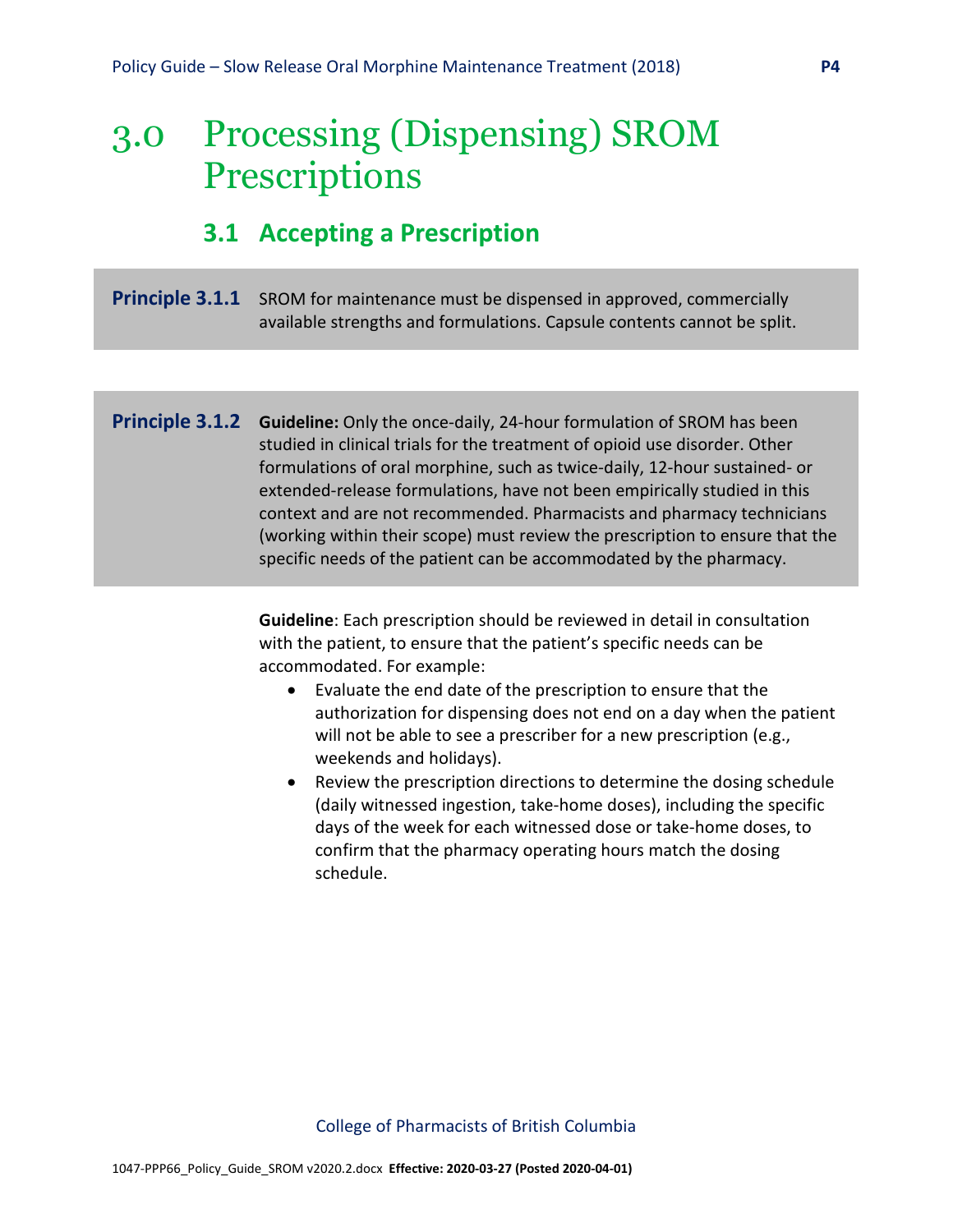## 3.0 Processing (Dispensing) SROM **Prescriptions**

## **3.1 Accepting a Prescription**

#### **Principle 3.1.1** SROM for maintenance must be dispensed in approved, commercially available strengths and formulations. Capsule contents cannot be split.

**Principle 3.1.2 Guideline:** Only the once-daily, 24-hour formulation of SROM has been studied in clinical trials for the treatment of opioid use disorder. Other formulations of oral morphine, such as twice-daily, 12-hour sustained- or extended-release formulations, have not been empirically studied in this context and are not recommended. Pharmacists and pharmacy technicians (working within their scope) must review the prescription to ensure that the specific needs of the patient can be accommodated by the pharmacy.

> **Guideline**: Each prescription should be reviewed in detail in consultation with the patient, to ensure that the patient's specific needs can be accommodated. For example:

- Evaluate the end date of the prescription to ensure that the authorization for dispensing does not end on a day when the patient will not be able to see a prescriber for a new prescription (e.g., weekends and holidays).
- Review the prescription directions to determine the dosing schedule (daily witnessed ingestion, take-home doses), including the specific days of the week for each witnessed dose or take-home doses, to confirm that the pharmacy operating hours match the dosing schedule.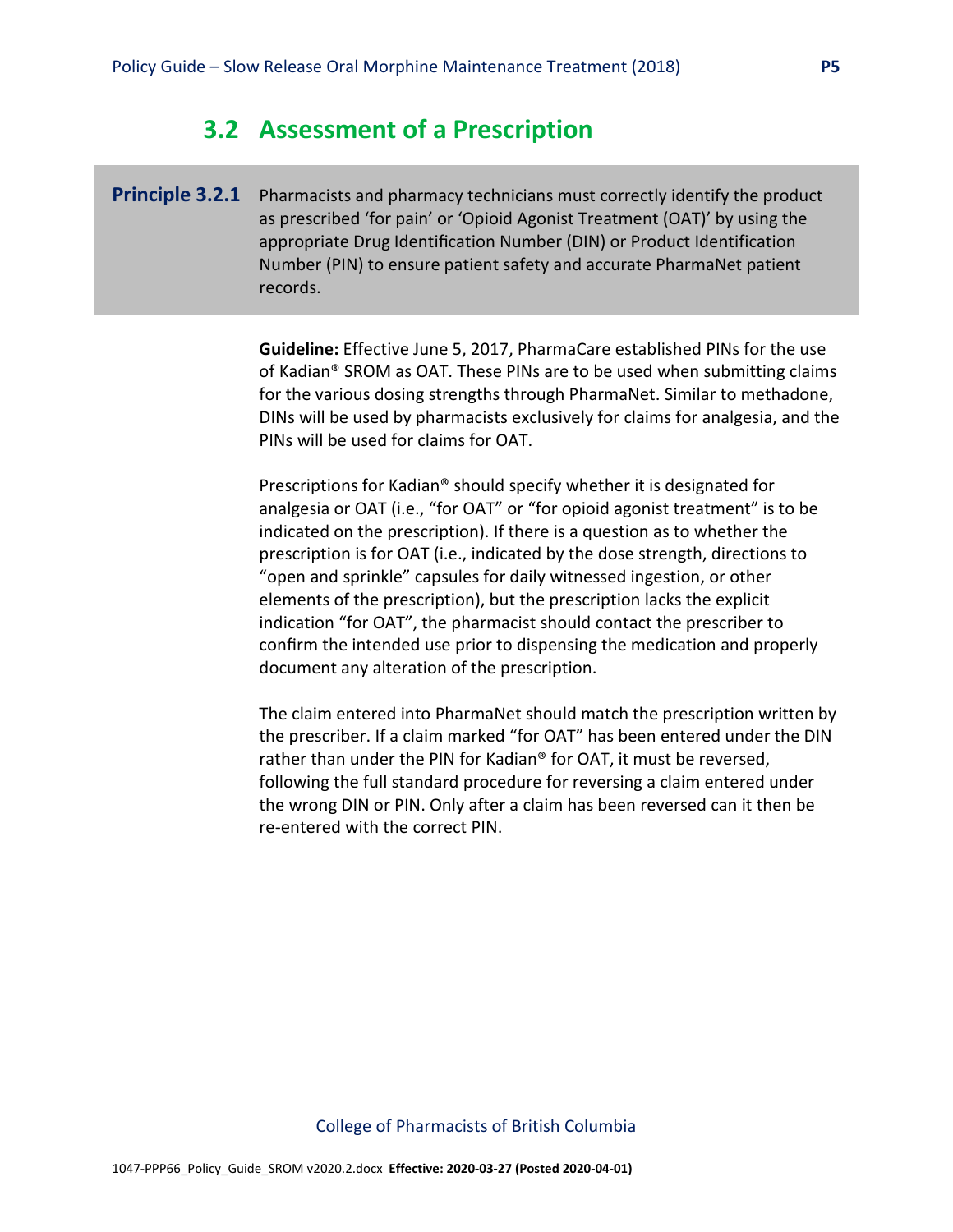### **3.2 Assessment of a Prescription**

**Principle 3.2.1** Pharmacists and pharmacy technicians must correctly identify the product as prescribed 'for pain' or 'Opioid Agonist Treatment (OAT)' by using the appropriate Drug Identification Number (DIN) or Product Identification Number (PIN) to ensure patient safety and accurate PharmaNet patient records.

> **Guideline:** Effective June 5, 2017, PharmaCare established PINs for the use of Kadian® SROM as OAT. These PINs are to be used when submitting claims for the various dosing strengths through PharmaNet. Similar to methadone, DINs will be used by pharmacists exclusively for claims for analgesia, and the PINs will be used for claims for OAT.

Prescriptions for Kadian® should specify whether it is designated for analgesia or OAT (i.e., "for OAT" or "for opioid agonist treatment" is to be indicated on the prescription). If there is a question as to whether the prescription is for OAT (i.e., indicated by the dose strength, directions to "open and sprinkle" capsules for daily witnessed ingestion, or other elements of the prescription), but the prescription lacks the explicit indication "for OAT", the pharmacist should contact the prescriber to confirm the intended use prior to dispensing the medication and properly document any alteration of the prescription.

The claim entered into PharmaNet should match the prescription written by the prescriber. If a claim marked "for OAT" has been entered under the DIN rather than under the PIN for Kadian® for OAT, it must be reversed, following the full standard procedure for reversing a claim entered under the wrong DIN or PIN. Only after a claim has been reversed can it then be re-entered with the correct PIN.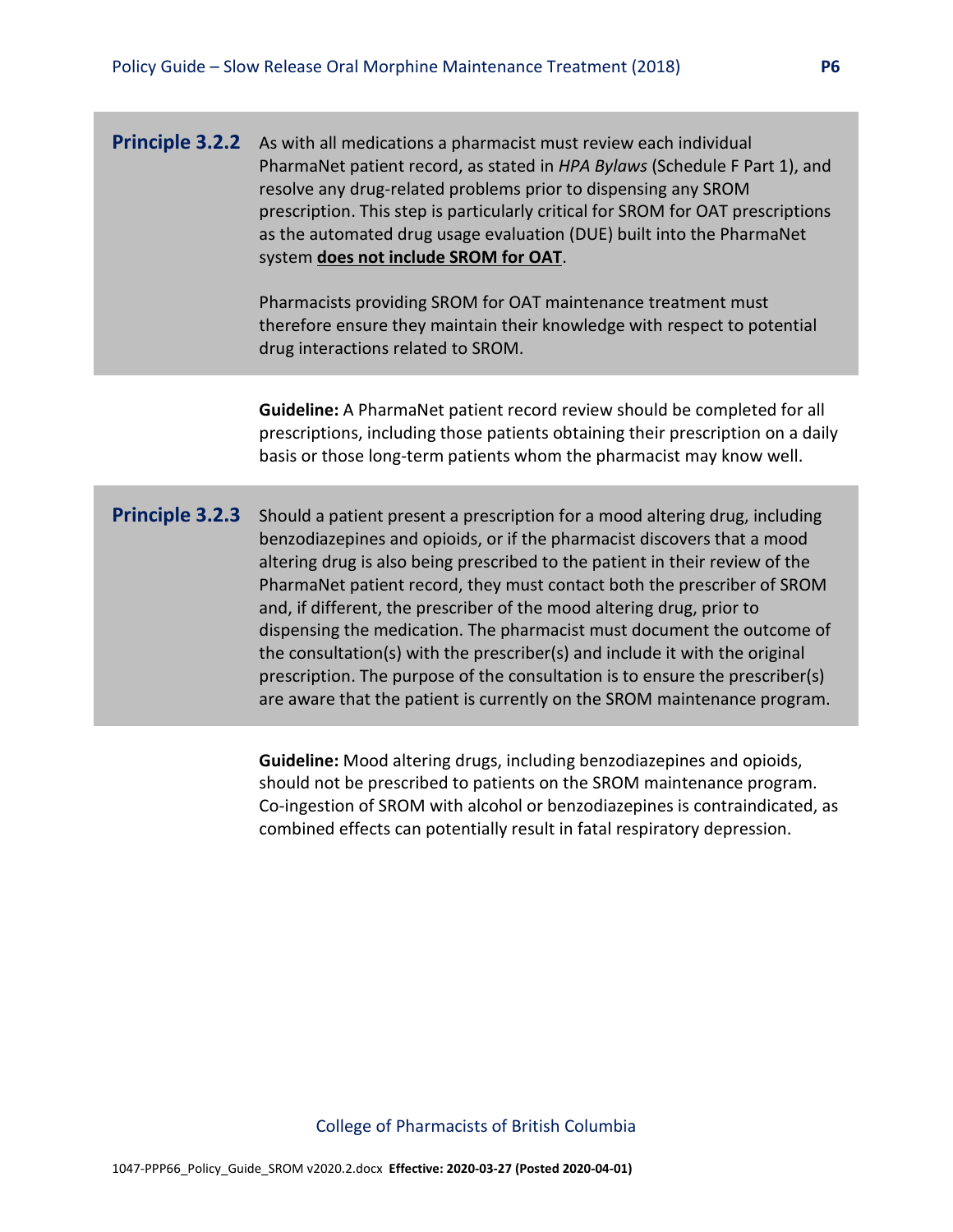**Principle 3.2.2** As with all medications a pharmacist must review each individual PharmaNet patient record, as stated in *HPA Bylaws* (Schedule F Part 1), and resolve any drug-related problems prior to dispensing any SROM prescription. This step is particularly critical for SROM for OAT prescriptions as the automated drug usage evaluation (DUE) built into the PharmaNet system **does not include SROM for OAT**.

> Pharmacists providing SROM for OAT maintenance treatment must therefore ensure they maintain their knowledge with respect to potential drug interactions related to SROM.

**Guideline:** A PharmaNet patient record review should be completed for all prescriptions, including those patients obtaining their prescription on a daily basis or those long-term patients whom the pharmacist may know well.

**Principle 3.2.3** Should a patient present a prescription for a mood altering drug, including benzodiazepines and opioids, or if the pharmacist discovers that a mood altering drug is also being prescribed to the patient in their review of the PharmaNet patient record, they must contact both the prescriber of SROM and, if different, the prescriber of the mood altering drug, prior to dispensing the medication. The pharmacist must document the outcome of the consultation(s) with the prescriber(s) and include it with the original prescription. The purpose of the consultation is to ensure the prescriber(s) are aware that the patient is currently on the SROM maintenance program.

> **Guideline:** Mood altering drugs, including benzodiazepines and opioids, should not be prescribed to patients on the SROM maintenance program. Co-ingestion of SROM with alcohol or benzodiazepines is contraindicated, as combined effects can potentially result in fatal respiratory depression.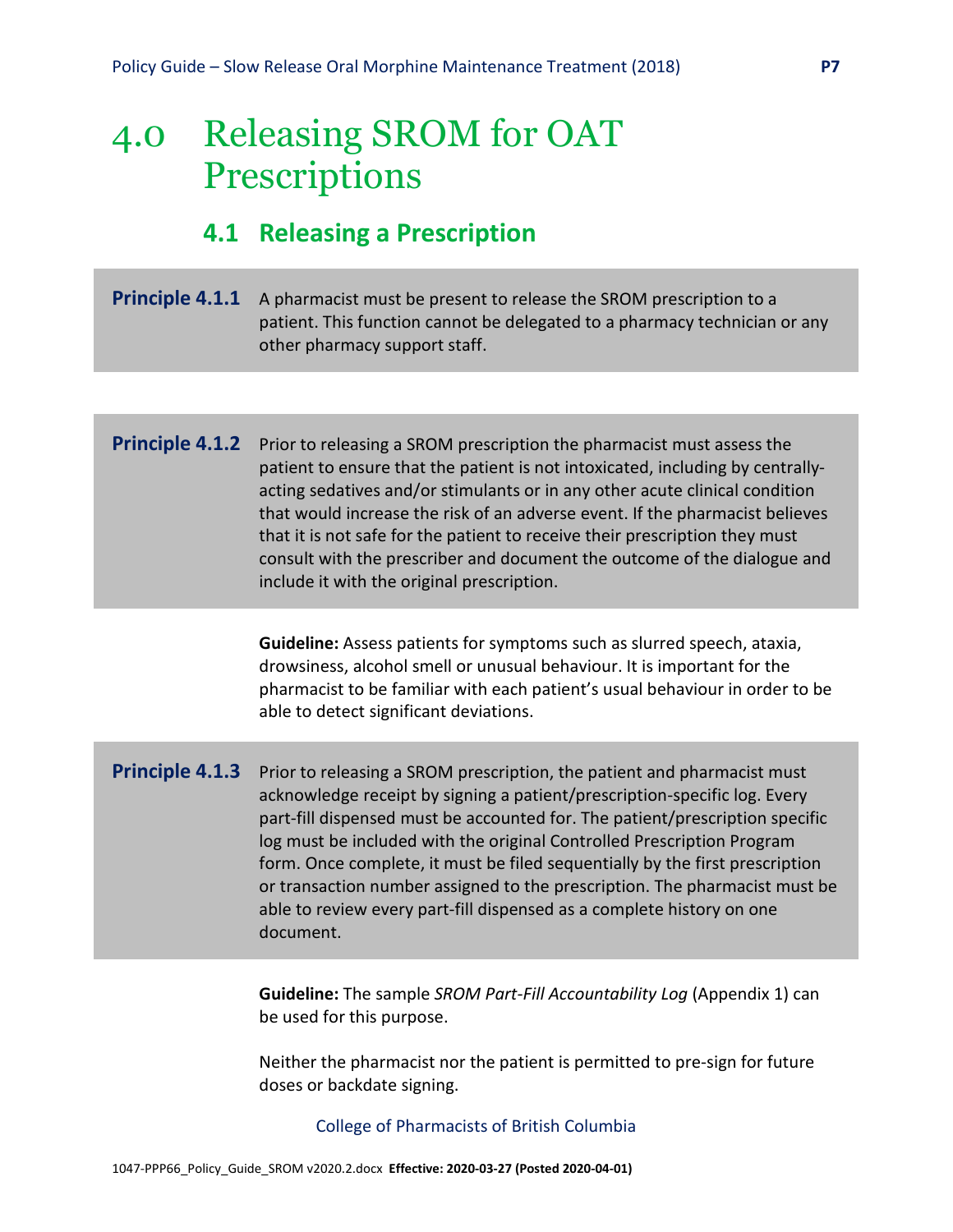## 4.0 Releasing SROM for OAT **Prescriptions**

## **4.1 Releasing a Prescription**

**Principle 4.1.1** A pharmacist must be present to release the SROM prescription to a patient. This function cannot be delegated to a pharmacy technician or any other pharmacy support staff.

#### **Principle 4.1.2** Prior to releasing a SROM prescription the pharmacist must assess the patient to ensure that the patient is not intoxicated, including by centrallyacting sedatives and/or stimulants or in any other acute clinical condition that would increase the risk of an adverse event. If the pharmacist believes that it is not safe for the patient to receive their prescription they must consult with the prescriber and document the outcome of the dialogue and include it with the original prescription.

**Guideline:** Assess patients for symptoms such as slurred speech, ataxia, drowsiness, alcohol smell or unusual behaviour. It is important for the pharmacist to be familiar with each patient's usual behaviour in order to be able to detect significant deviations.

**Principle 4.1.3** Prior to releasing a SROM prescription, the patient and pharmacist must acknowledge receipt by signing a patient/prescription-specific log. Every part-fill dispensed must be accounted for. The patient/prescription specific log must be included with the original Controlled Prescription Program form. Once complete, it must be filed sequentially by the first prescription or transaction number assigned to the prescription. The pharmacist must be able to review every part-fill dispensed as a complete history on one document.

> **Guideline:** The sample *SROM Part-Fill Accountability Log* (Appendix 1) can be used for this purpose.

> Neither the pharmacist nor the patient is permitted to pre-sign for future doses or backdate signing.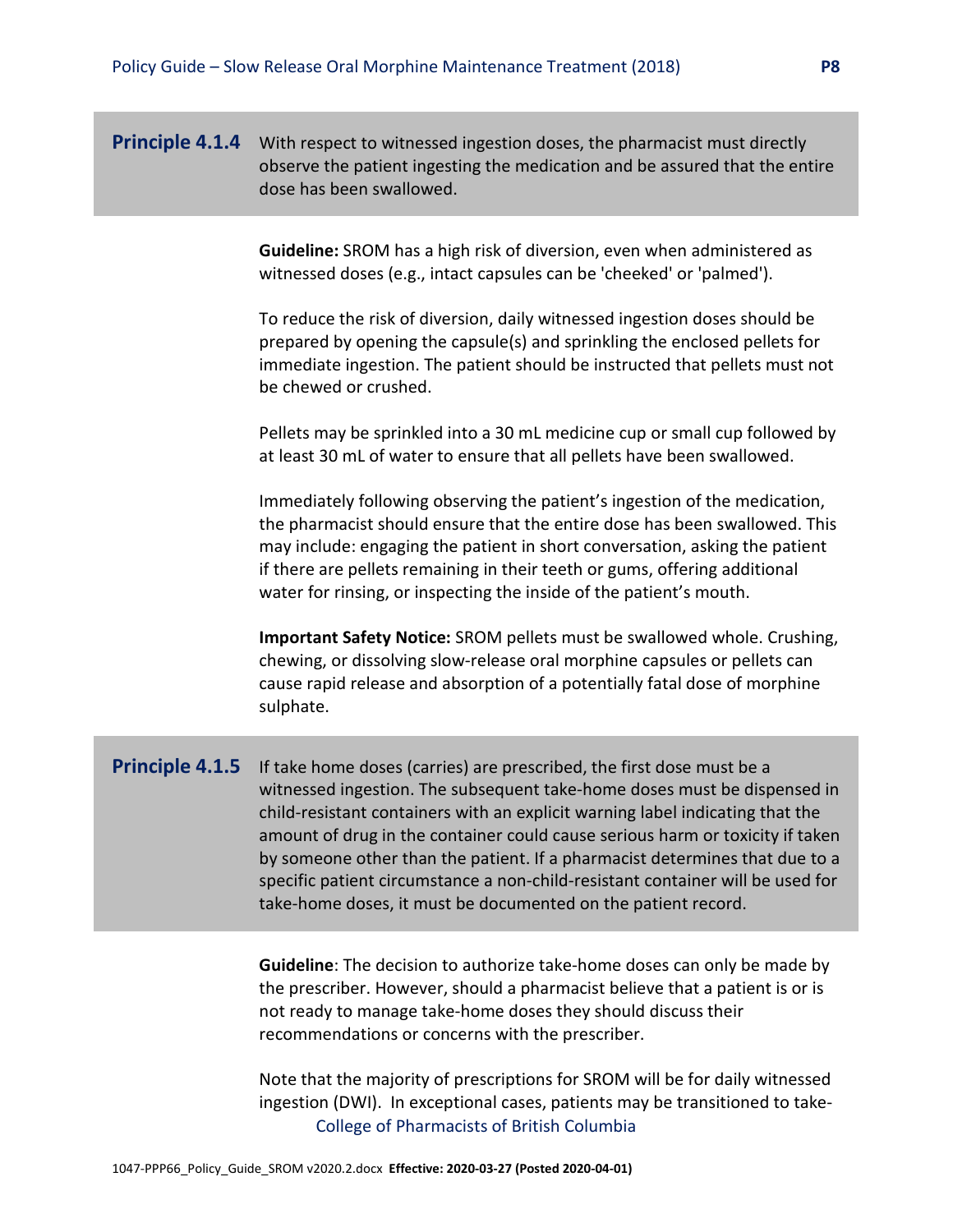#### **Principle 4.1.4** With respect to witnessed ingestion doses, the pharmacist must directly observe the patient ingesting the medication and be assured that the entire dose has been swallowed.

**Guideline:** SROM has a high risk of diversion, even when administered as witnessed doses (e.g., intact capsules can be 'cheeked' or 'palmed').

To reduce the risk of diversion, daily witnessed ingestion doses should be prepared by opening the capsule(s) and sprinkling the enclosed pellets for immediate ingestion. The patient should be instructed that pellets must not be chewed or crushed.

Pellets may be sprinkled into a 30 mL medicine cup or small cup followed by at least 30 mL of water to ensure that all pellets have been swallowed.

Immediately following observing the patient's ingestion of the medication, the pharmacist should ensure that the entire dose has been swallowed. This may include: engaging the patient in short conversation, asking the patient if there are pellets remaining in their teeth or gums, offering additional water for rinsing, or inspecting the inside of the patient's mouth.

**Important Safety Notice:** SROM pellets must be swallowed whole. Crushing, chewing, or dissolving slow-release oral morphine capsules or pellets can cause rapid release and absorption of a potentially fatal dose of morphine sulphate.

**Principle 4.1.5** If take home doses (carries) are prescribed, the first dose must be a witnessed ingestion. The subsequent take-home doses must be dispensed in child-resistant containers with an explicit warning label indicating that the amount of drug in the container could cause serious harm or toxicity if taken by someone other than the patient. If a pharmacist determines that due to a specific patient circumstance a non-child-resistant container will be used for take-home doses, it must be documented on the patient record.

> **Guideline**: The decision to authorize take-home doses can only be made by the prescriber. However, should a pharmacist believe that a patient is or is not ready to manage take-home doses they should discuss their recommendations or concerns with the prescriber.

> College of Pharmacists of British Columbia Note that the majority of prescriptions for SROM will be for daily witnessed ingestion (DWI). In exceptional cases, patients may be transitioned to take-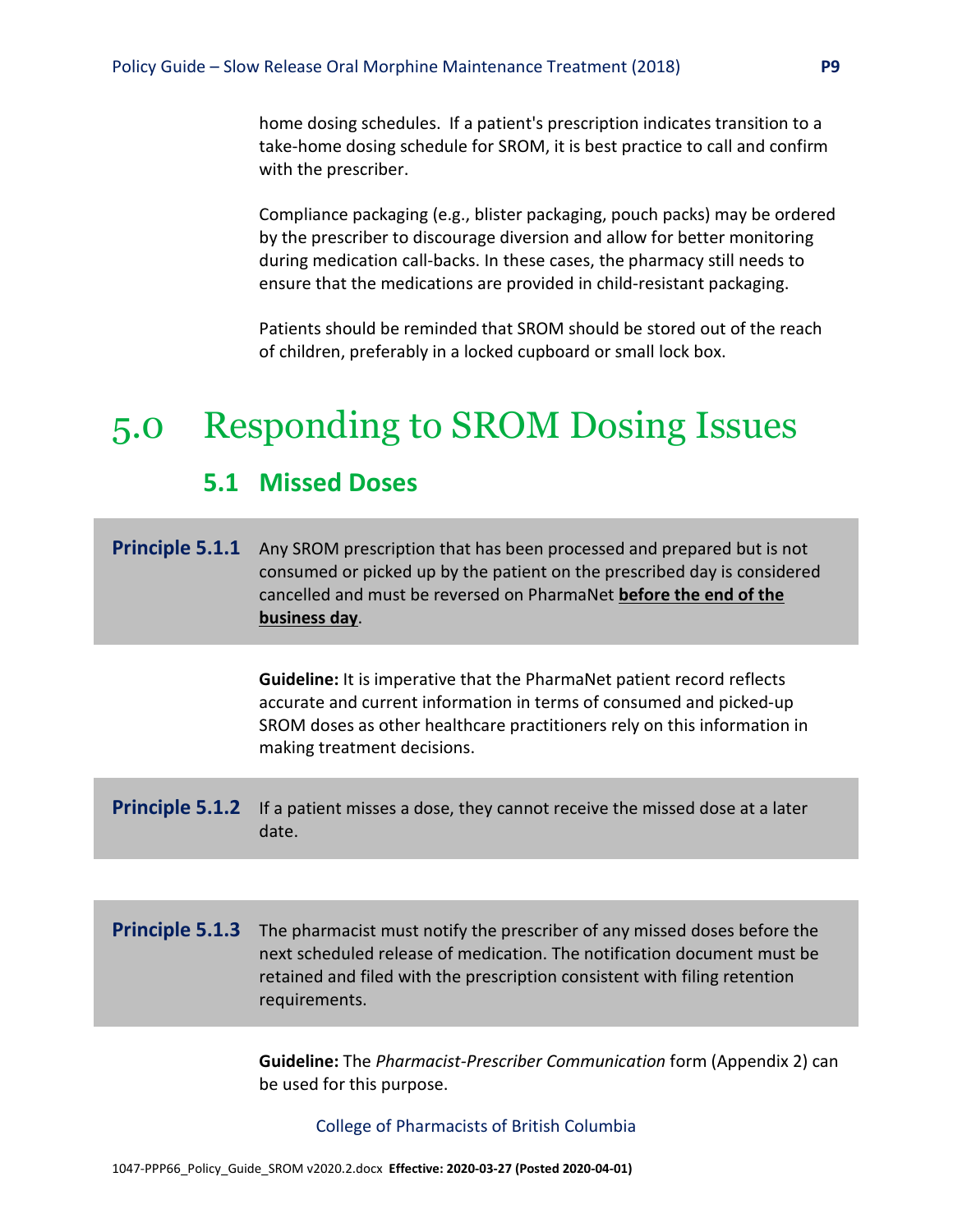home dosing schedules. If a patient's prescription indicates transition to a take-home dosing schedule for SROM, it is best practice to call and confirm with the prescriber.

Compliance packaging (e.g., blister packaging, pouch packs) may be ordered by the prescriber to discourage diversion and allow for better monitoring during medication call-backs. In these cases, the pharmacy still needs to ensure that the medications are provided in child-resistant packaging.

Patients should be reminded that SROM should be stored out of the reach of children, preferably in a locked cupboard or small lock box.

## 5.0 Responding to SROM Dosing Issues

## **5.1 Missed Doses**

**Principle 5.1.1** Any SROM prescription that has been processed and prepared but is not consumed or picked up by the patient on the prescribed day is considered cancelled and must be reversed on PharmaNet **before the end of the business day**.

> **Guideline:** It is imperative that the PharmaNet patient record reflects accurate and current information in terms of consumed and picked-up SROM doses as other healthcare practitioners rely on this information in making treatment decisions.

**Principle 5.1.2** If a patient misses a dose, they cannot receive the missed dose at a later date.

**Principle 5.1.3** The pharmacist must notify the prescriber of any missed doses before the next scheduled release of medication. The notification document must be retained and filed with the prescription consistent with filing retention requirements.

> **Guideline:** The *Pharmacist-Prescriber Communication* form (Appendix 2) can be used for this purpose.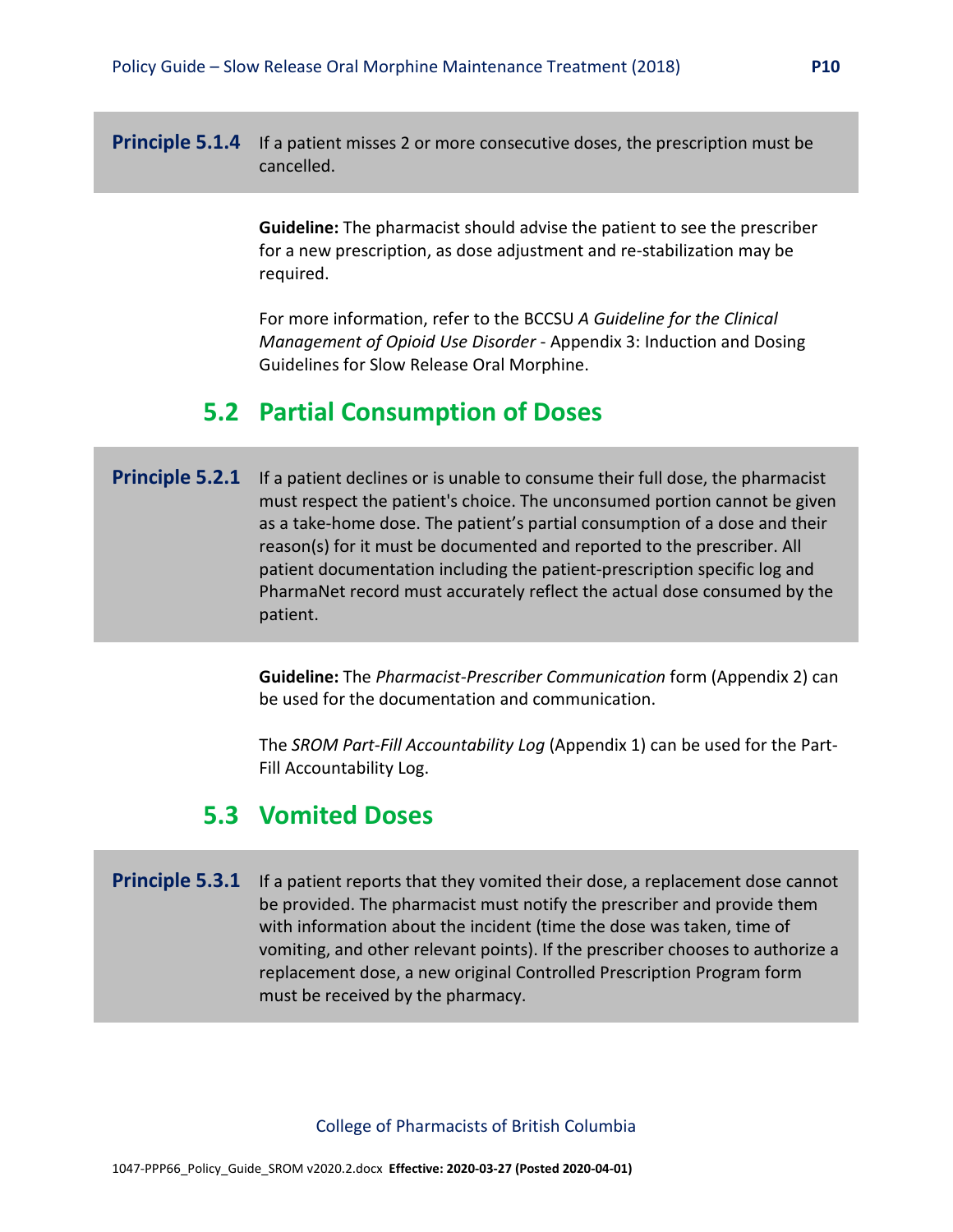**Principle 5.1.4** If a patient misses 2 or more consecutive doses, the prescription must be cancelled.

> **Guideline:** The pharmacist should advise the patient to see the prescriber for a new prescription, as dose adjustment and re-stabilization may be required.

For more information, refer to the BCCSU *A Guideline for the Clinical Management of Opioid Use Disorder* - Appendix 3: Induction and Dosing Guidelines for Slow Release Oral Morphine.

### **5.2 Partial Consumption of Doses**

**Principle 5.2.1** If a patient declines or is unable to consume their full dose, the pharmacist must respect the patient's choice. The unconsumed portion cannot be given as a take-home dose. The patient's partial consumption of a dose and their reason(s) for it must be documented and reported to the prescriber. All patient documentation including the patient-prescription specific log and PharmaNet record must accurately reflect the actual dose consumed by the patient.

> **Guideline:** The *Pharmacist-Prescriber Communication* form (Appendix 2) can be used for the documentation and communication.

> The *SROM Part-Fill Accountability Log* (Appendix 1) can be used for the Part-Fill Accountability Log.

### **5.3 Vomited Doses**

**Principle 5.3.1** If a patient reports that they vomited their dose, a replacement dose cannot be provided. The pharmacist must notify the prescriber and provide them with information about the incident (time the dose was taken, time of vomiting, and other relevant points). If the prescriber chooses to authorize a replacement dose, a new original Controlled Prescription Program form must be received by the pharmacy.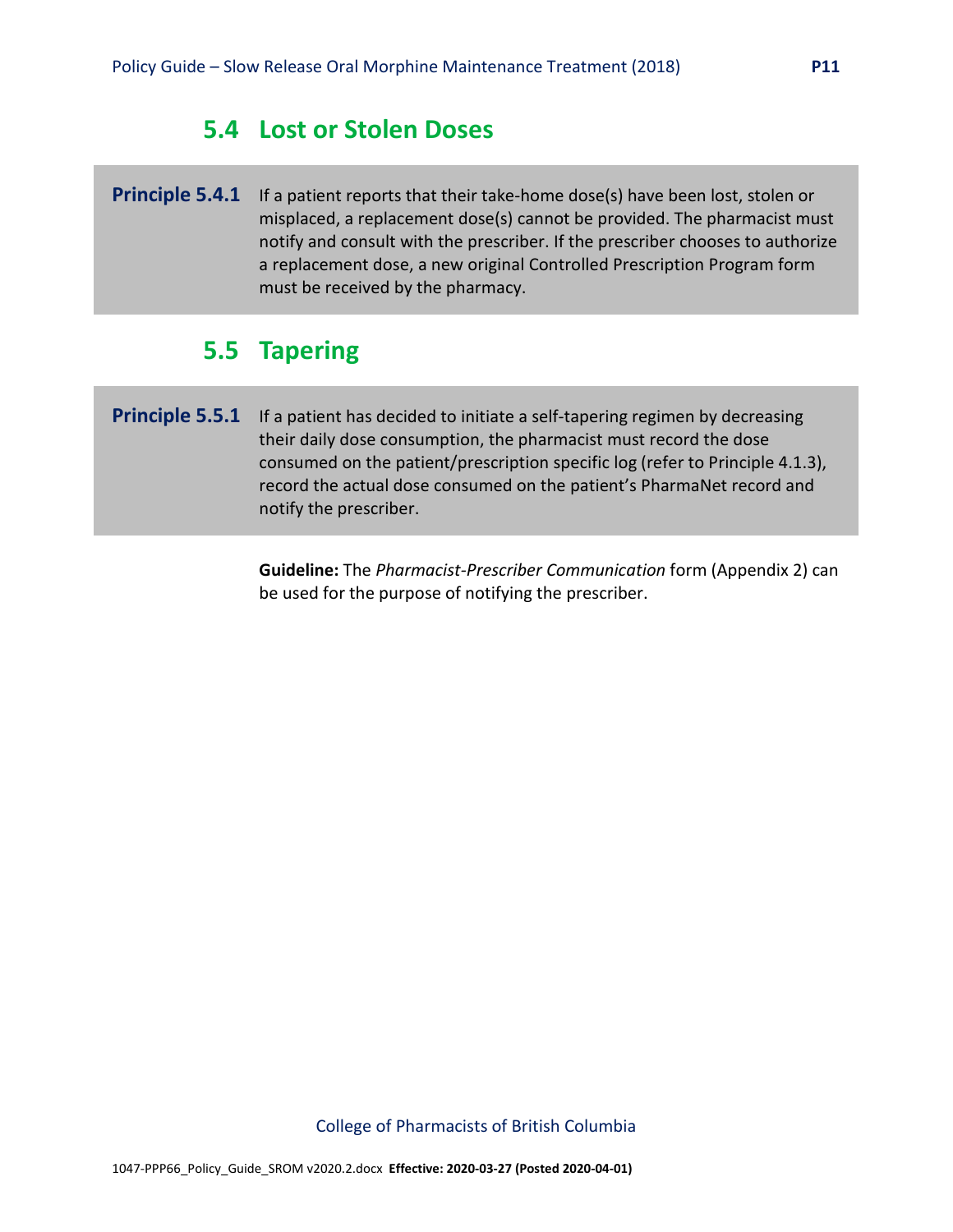### **5.4 Lost or Stolen Doses**

**Principle 5.4.1** If a patient reports that their take-home dose(s) have been lost, stolen or misplaced, a replacement dose(s) cannot be provided. The pharmacist must notify and consult with the prescriber. If the prescriber chooses to authorize a replacement dose, a new original Controlled Prescription Program form must be received by the pharmacy.

## **5.5 Tapering**

**Principle 5.5.1** If a patient has decided to initiate a self-tapering regimen by decreasing their daily dose consumption, the pharmacist must record the dose consumed on the patient/prescription specific log (refer to Principle 4.1.3), record the actual dose consumed on the patient's PharmaNet record and notify the prescriber.

> **Guideline:** The *Pharmacist-Prescriber Communication* form (Appendix 2) can be used for the purpose of notifying the prescriber.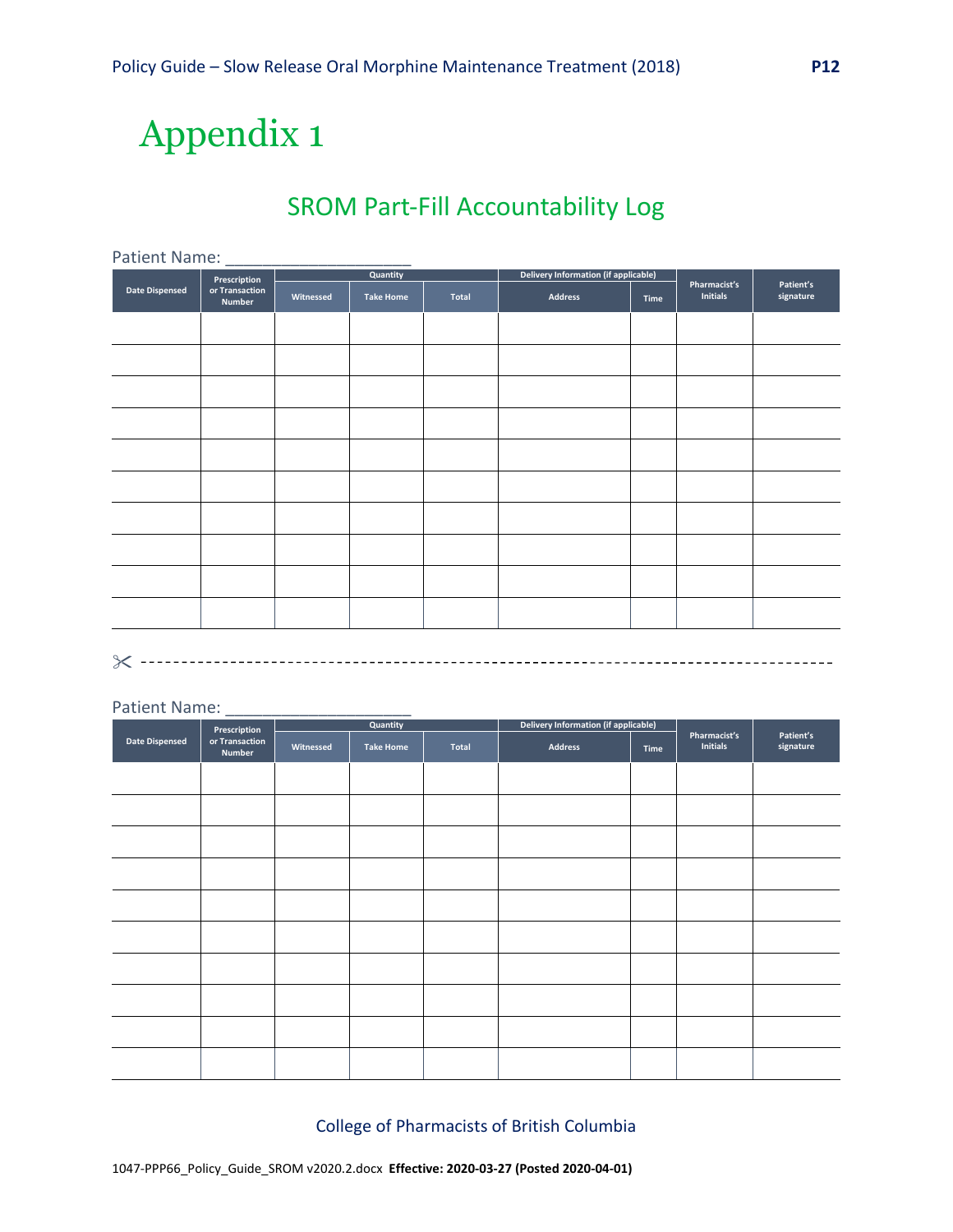# Appendix 1

## SROM Part-Fill Accountability Log

| Patient Name:         |                          |           |                  |       |                                             |      |                                 |                        |
|-----------------------|--------------------------|-----------|------------------|-------|---------------------------------------------|------|---------------------------------|------------------------|
| Prescription          |                          | Quantity  |                  |       | <b>Delivery Information (if applicable)</b> |      |                                 |                        |
| <b>Date Dispensed</b> | or Transaction<br>Number | Witnessed | <b>Take Home</b> | Total | <b>Address</b>                              | Time | Pharmacist's<br><b>Initials</b> | Patient's<br>signature |
|                       |                          |           |                  |       |                                             |      |                                 |                        |
|                       |                          |           |                  |       |                                             |      |                                 |                        |
|                       |                          |           |                  |       |                                             |      |                                 |                        |
|                       |                          |           |                  |       |                                             |      |                                 |                        |
|                       |                          |           |                  |       |                                             |      |                                 |                        |
|                       |                          |           |                  |       |                                             |      |                                 |                        |
|                       |                          |           |                  |       |                                             |      |                                 |                        |
|                       |                          |           |                  |       |                                             |      |                                 |                        |
|                       |                          |           |                  |       |                                             |      |                                 |                        |
|                       |                          |           |                  |       |                                             |      |                                 |                        |
|                       |                          |           |                  |       |                                             |      |                                 |                        |

#### Patient Name:

| Prescription          |                          | Quantity  |                  |       | Delivery Information (if applicable) |      |                                 |                        |
|-----------------------|--------------------------|-----------|------------------|-------|--------------------------------------|------|---------------------------------|------------------------|
| <b>Date Dispensed</b> | or Transaction<br>Number | Witnessed | <b>Take Home</b> | Total | <b>Address</b>                       | Time | Pharmacist's<br><b>Initials</b> | Patient's<br>signature |
|                       |                          |           |                  |       |                                      |      |                                 |                        |
|                       |                          |           |                  |       |                                      |      |                                 |                        |
|                       |                          |           |                  |       |                                      |      |                                 |                        |
|                       |                          |           |                  |       |                                      |      |                                 |                        |
|                       |                          |           |                  |       |                                      |      |                                 |                        |
|                       |                          |           |                  |       |                                      |      |                                 |                        |
|                       |                          |           |                  |       |                                      |      |                                 |                        |
|                       |                          |           |                  |       |                                      |      |                                 |                        |
|                       |                          |           |                  |       |                                      |      |                                 |                        |
|                       |                          |           |                  |       |                                      |      |                                 |                        |
|                       |                          |           |                  |       |                                      |      |                                 |                        |